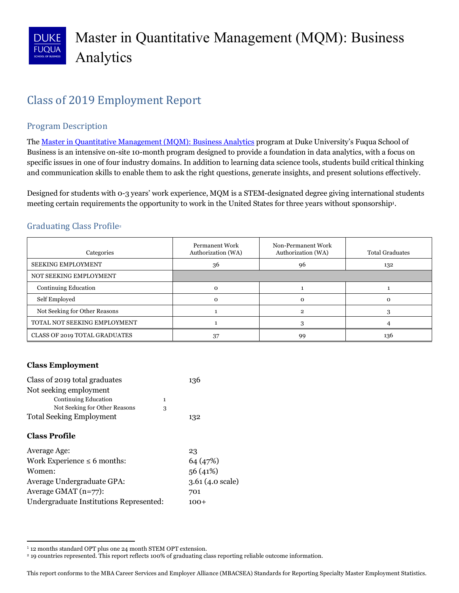## **Class of 2019 Employment Report**

## Program Description

The <u>Master in Quantitative Management (MQM): Business Analytics</u> program at Duke University's Fuqua School of Business is an intensive on-site 10-month program designed to provide a foundation in data analytics, with a focus on specific issues in one of four industry domains. In addition to learning data science tools, students build critical thinking and communication skills to enable them to ask the right questions, generate insights, and present solutions effectively.

 Designed for students with 0-3 years' work experience, MQM is a STEM-designated degree giving international students meeting certain requirements the opportunity to work in the United States for three years without sponsorship<sup>1</sup>.

## Graduating Class Profile<sup>2</sup>

| Categories                           | <b>Permanent Work</b><br>Authorization (WA) | Non-Permanent Work<br>Authorization (WA) | <b>Total Graduates</b> |
|--------------------------------------|---------------------------------------------|------------------------------------------|------------------------|
| <b>SEEKING EMPLOYMENT</b>            | 36                                          | 96                                       | 132                    |
| NOT SEEKING EMPLOYMENT               |                                             |                                          |                        |
| Continuing Education                 | Ω                                           |                                          |                        |
| Self Employed                        |                                             |                                          |                        |
| Not Seeking for Other Reasons        |                                             |                                          |                        |
| TOTAL NOT SEEKING EMPLOYMENT         |                                             |                                          |                        |
| <b>CLASS OF 2019 TOTAL GRADUATES</b> |                                             | 99                                       | 136                    |

## **Class Employment**

 $\overline{\phantom{a}}$ 

| Class of 2019 total graduates           |              | 136                       |
|-----------------------------------------|--------------|---------------------------|
| Not seeking employment                  |              |                           |
| Continuing Education                    | $\mathbf{1}$ |                           |
| Not Seeking for Other Reasons           | 3            |                           |
| <b>Total Seeking Employment</b>         |              | 132                       |
| <b>Class Profile</b>                    |              |                           |
| Average Age:                            |              | 23                        |
| Work Experience $\leq 6$ months:        |              | 64 (47%)                  |
| Women:                                  |              | 56(41%)                   |
| Average Undergraduate GPA:              |              | $3.61(4.0 \text{ scale})$ |
| Average GMAT $(n=77)$ :                 |              | 701                       |
| Undergraduate Institutions Represented: |              | 100+                      |

<sup>1</sup>12 months standard OPT plus one 24 month STEM OPT extension.

<sup>2 19</sup> countries represented. This report reflects 100% of graduating class reporting reliable outcome information.

 This report conforms to the MBA Career Services and Employer Alliance (MBACSEA) Standards for Reporting Specialty Master Employment Statistics.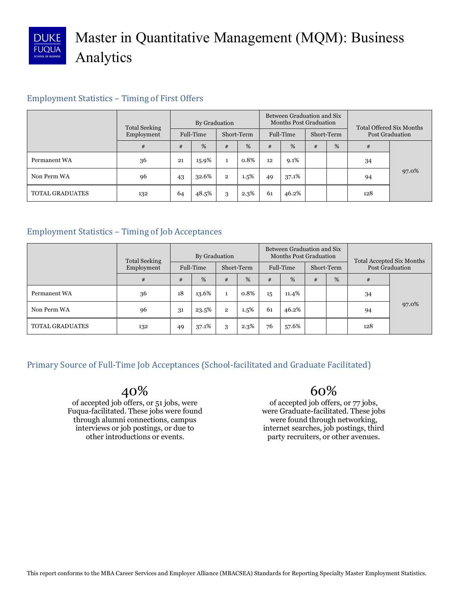

# Master in Quantitative Management (MQM): Business Analytics

## Employment Statistics - Timing of First Offers

| <b>Total Seeking</b>   |            | By Graduation |           |              | Between Graduation and Six<br><b>Months Post Graduation</b> |    |           |   | <b>Total Offered Six Months</b> |     |                        |
|------------------------|------------|---------------|-----------|--------------|-------------------------------------------------------------|----|-----------|---|---------------------------------|-----|------------------------|
|                        | Employment |               | Full-Time |              | Short-Term                                                  |    | Full-Time |   | Short-Term                      |     | <b>Post Graduation</b> |
|                        | #          | #             | %         | #            | %                                                           | #  | %         | # | %                               | #   |                        |
| Permanent WA           | 36         | 21            | 15.9%     |              | 0.8%                                                        | 12 | 9.1%      |   |                                 | 34  |                        |
| Non Perm WA            | 96         | 43            | 32.6%     | $\mathbf{2}$ | 1.5%                                                        | 49 | 37.1%     |   |                                 | 94  | 97.0%                  |
| <b>TOTAL GRADUATES</b> | 132        | 64            | 48.5%     | 3            | 2.3%                                                        | 61 | 46.2%     |   |                                 | 128 |                        |

## Employment Statistics - Timing of Job Acceptances

| <b>Total Seeking</b>   |            |    | By Graduation |              |            | Between Graduation and Six<br><b>Months Post Graduation</b> |           |   |            | <b>Total Accepted Six Months</b> |                        |
|------------------------|------------|----|---------------|--------------|------------|-------------------------------------------------------------|-----------|---|------------|----------------------------------|------------------------|
|                        | Employment |    | Full-Time     |              | Short-Term |                                                             | Full-Time |   | Short-Term |                                  | <b>Post Graduation</b> |
|                        | #          | #  | %             | #            | %          | #                                                           | %         | # | %          | #                                |                        |
| Permanent WA           | 36         | 18 | 13.6%         |              | 0.8%       | 15                                                          | 11.4%     |   |            | 34                               |                        |
| Non Perm WA            | 96         | 31 | 23.5%         | $\mathbf{2}$ | 1.5%       | 61                                                          | 46.2%     |   |            | 94                               | 97.0%                  |
| <b>TOTAL GRADUATES</b> | 132        | 49 | 37.1%         |              | $2.3\%$    | 76                                                          | 57.6%     |   |            | 128                              |                        |

Primary Source of Full-Time Job Acceptances (School-facilitated and Graduate Facilitated)

## 40%

of accepted job offers, or 51 jobs, were Fuqua-facilitated. These jobs were found through alumni connections, campus interviews or job postings, or due to other introductions or events.

60%

of accepted job offers, or 77 jobs, were Graduate-facilitated. These jobs were found through networking, internet searches, job postings, third party recruiters, or other avenues.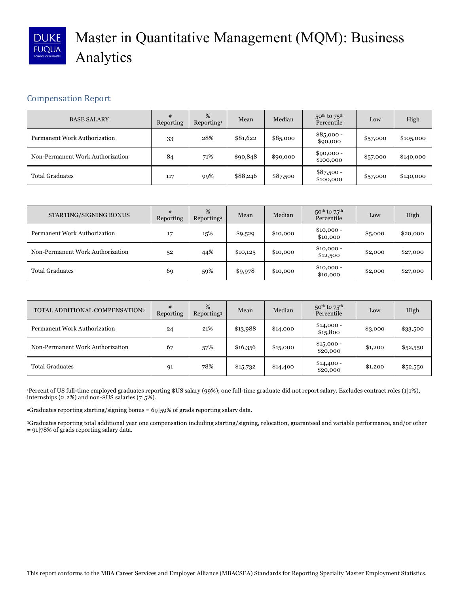

# Master in Quantitative Management (MQM): Business Analytics

## Compensation Report

| <b>BASE SALARY</b>               | #<br>Reporting | %<br>Reporting <sup>1</sup> | Mean     | Median   | $50^{th}$ to $75^{th}$<br>Percentile | Low      | High       |
|----------------------------------|----------------|-----------------------------|----------|----------|--------------------------------------|----------|------------|
| Permanent Work Authorization     | 33             | 28%                         | \$81,622 | \$85,000 | $$85,000 -$<br>\$90,000              | \$57,000 | \$10,5,000 |
| Non-Permanent Work Authorization | 84             | 71%                         | \$90,848 | \$90,000 | $$90,000 -$<br>\$100,000             | \$57,000 | \$140,000  |
| <b>Total Graduates</b>           | 117            | 99%                         | \$88,246 | \$87,500 | $$87,500 -$<br>\$100,000             | \$57,000 | \$140,000  |

| STARTING/SIGNING BONUS           | #<br>Reporting | %<br>Reporting <sup>2</sup> | Mean     | Median   | $50^{th}$ to $75^{th}$<br>Percentile | Low     | High     |
|----------------------------------|----------------|-----------------------------|----------|----------|--------------------------------------|---------|----------|
| Permanent Work Authorization     | 17             | 15%                         | \$9,529  | \$10,000 | $$10,000 -$<br>\$10,000              | \$5,000 | \$20,000 |
| Non-Permanent Work Authorization | 52             | 44%                         | \$10,125 | \$10,000 | $$10,000 -$<br>\$12,500              | \$2,000 | \$27,000 |
| <b>Total Graduates</b>           | 69             | 59%                         | \$9,978  | \$10,000 | $$10,000 -$<br>\$10,000              | \$2,000 | \$27,000 |

| TOTAL ADDITIONAL COMPENSATION3      | #<br>Reporting | %<br>Reporting <sup>3</sup> | Mean     | Median   | $50th$ to $75th$<br>Percentile | Low     | High     |
|-------------------------------------|----------------|-----------------------------|----------|----------|--------------------------------|---------|----------|
| <b>Permanent Work Authorization</b> | 24             | 21%                         | \$13,988 | \$14,000 | $$14,000 -$<br>\$15,800        | \$3,000 | \$33,500 |
| Non-Permanent Work Authorization    | 67             | 57%                         | \$16,356 | \$15,000 | $$15,000 -$<br>\$20,000        | \$1,200 | \$52,550 |
| <b>Total Graduates</b>              | 91             | 78%                         | \$15,732 | \$14,400 | $$14,400 -$<br>\$20,000        | \$1,200 | \$52,550 |

 1Percent of US full-time employed graduates reporting \$US salary (99%); one full-time graduate did not report salary. Excludes contract roles (1|1%), internships (2|2%) and non-\$US salaries (7|5%).

2Graduates reporting starting/signing bonus = 69|59% of grads reporting salary data.

 3Graduates reporting total additional year one compensation including starting/signing, relocation, guaranteed and variable performance, and/or other  $= 91$ |78% of grads reporting salary data. = 91|78% of grads reporting salary data. This report conforms to the MBA Career Services and Employer Alliance (MBACSEA) Standards for Reporting Specialty Master Employment Statistics.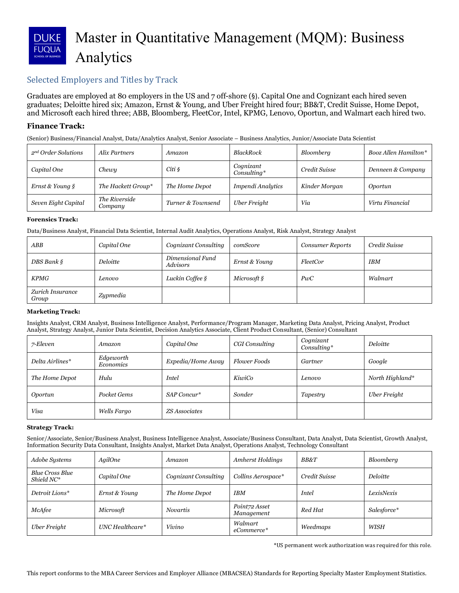## Master in Quantitative Management (MQM): Business DUKE **FUQUA** Analytics

## Selected Employers and Titles by Track

 Graduates are employed at 80 employers in the US and 7 off-shore (§). Capital One and Cognizant each hired seven graduates; Deloitte hired six; Amazon, Ernst & Young, and Uber Freight hired four; BB&T, Credit Suisse, Home Depot, and Microsoft each hired three; ABB, Bloomberg, FleetCor, Intel, KPMG, Lenovo, Oportun, and Walmart each hired two.

#### **Finance Track:**

(Senior) Business/Financial Analyst, Data/Analytics Analyst, Senior Associate – Business Analytics, Junior/Associate Data Scientist

| 2 <sup>nd</sup> Order Solutions | Alix Partners            | Amazon            | <b>BlackRock</b>         | Bloomberg     | Booz Allen Hamilton* |
|---------------------------------|--------------------------|-------------------|--------------------------|---------------|----------------------|
| Capital One                     | Chewy                    | Citi §            | Cognizant<br>Consulting* | Credit Suisse | Denneen & Company    |
| Ernst & Young §                 | The Hackett Group*       | The Home Depot    | Impendi Analytics        | Kinder Morgan | Oportun              |
| Seven Eight Capital             | The Riverside<br>Company | Turner & Townsend | Uber Freight             | Via           | Virtu Financial      |

#### **Forensics Track:**

Data/Business Analyst, Financial Data Scientist, Internal Audit Analytics, Operations Analyst, Risk Analyst, Strategy Analyst

| ABB                       | Capital One | Cognizant Consulting         | comScore       | <b>Consumer Reports</b> | Credit Suisse |
|---------------------------|-------------|------------------------------|----------------|-------------------------|---------------|
| $DBS$ Bank $\S$           | Deloitte    | Dimensional Fund<br>Advisors | Ernst & Young  | FleetCor                | <b>IBM</b>    |
| <b>KPMG</b>               | Lenovo      | Luckin Coffee §              | Microsoft $\S$ | PwC                     | Walmart       |
| Zurich Insurance<br>Group | Zypmedia    |                              |                |                         |               |

#### **Marketing Track:**

 Insights Analyst, CRM Analyst, Business Intelligence Analyst, Performance/Program Manager, Marketing Data Analyst, Pricing Analyst, Product Analyst, Strategy Analyst, Junior Data Scientist, Decision Analytics Associate, Client Product Consultant, (Senior) Consultant

| 7-Eleven        | Amazon                 | Capital One       | CGI Consulting      | Cognizant<br>Consulting* | Deloitte        |
|-----------------|------------------------|-------------------|---------------------|--------------------------|-----------------|
| Delta Airlines* | Edgeworth<br>Economics | Expedia/Home Away | <b>Flower Foods</b> | Gartner                  | Google          |
| The Home Depot  | Hulu                   | <i>Intel</i>      | KiwiCo              | Lenovo                   | North Highland* |
| Oportun         | Pocket Gems            | SAP Concur*       | Sonder              | Tapestry                 | Uber Freight    |
| Visa            | Wells Fargo            | ZS Associates     |                     |                          |                 |

#### **Strategy Track:**

 Senior/Associate, Senior/Business Analyst, Business Intelligence Analyst, Associate/Business Consultant, Data Analyst, Data Scientist, Growth Analyst, Information Security Data Consultant, Insights Analyst, Market Data Analyst, Operations Analyst, Technology Consultant

| Adobe Systems                        | AgilOne           | Amazon               | <b>Amherst Holdings</b>     | <b>BB&amp;T</b> | Bloomberg   |
|--------------------------------------|-------------------|----------------------|-----------------------------|-----------------|-------------|
| <b>Blue Cross Blue</b><br>Shield NC* | Capital One       | Cognizant Consulting | Collins Aerospace*          | Credit Suisse   | Deloitte    |
| Detroit Lions*                       | Ernst & Young     | The Home Depot       | <b>IBM</b>                  | <b>Intel</b>    | LexisNexis  |
| McAfee                               | Microsoft         | <i>Novartis</i>      | Point72 Asset<br>Management | Red Hat         | Salesforce* |
| Uber Freight                         | $UNC$ Healthcare* | Vivino               | Walmart<br>eCommerce*       | Weedmaps        | WISH        |

 \*US permanent work authorization was required for this role.